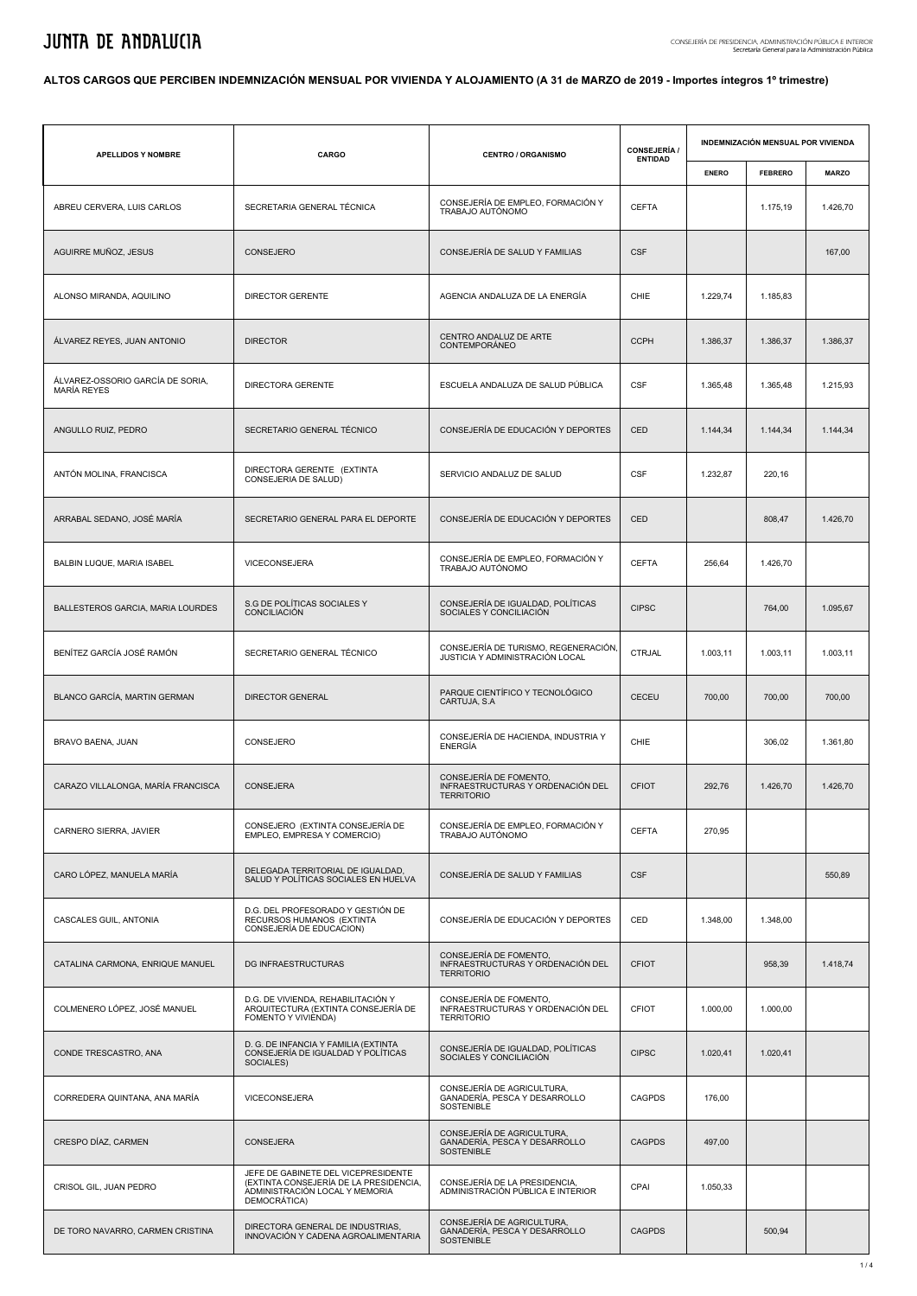## **ALTOS CARGOS QUE PERCIBEN INDEMNIZACIÓN MENSUAL POR VIVIENDA Y ALOJAMIENTO (A 31 de MARZO de 2019 - Importes íntegros 1º trimestre)**

| <b>APELLIDOS Y NOMBRE</b>                              | CARGO                                                                                                                           | <b>CENTRO / ORGANISMO</b>                                                        | <b>CONSEJERÍA /</b><br><b>ENTIDAD</b> |                                                                                                | <b>INDEMNIZACIÓN MENSUAL POR VIVIENDA</b> |              |  |
|--------------------------------------------------------|---------------------------------------------------------------------------------------------------------------------------------|----------------------------------------------------------------------------------|---------------------------------------|------------------------------------------------------------------------------------------------|-------------------------------------------|--------------|--|
|                                                        |                                                                                                                                 |                                                                                  |                                       | <b>ENERO</b><br>1.229,74<br>1.386,37<br>1.365,48<br>1.144,34<br>1.232,87<br>256,64<br>1.003,11 | <b>FEBRERO</b>                            | <b>MARZO</b> |  |
| ABREU CERVERA, LUIS CARLOS                             | SECRETARIA GENERAL TÉCNICA                                                                                                      | CONSEJERÍA DE EMPLEO, FORMACIÓN Y<br>TRABAJO AUTÓNOMO                            | <b>CEFTA</b>                          |                                                                                                | 1.175,19                                  | 1.426,70     |  |
| AGUIRRE MUÑOZ, JESUS                                   | CONSEJERO                                                                                                                       | CONSEJERÍA DE SALUD Y FAMILIAS                                                   | <b>CSF</b>                            |                                                                                                |                                           | 167,00       |  |
| ALONSO MIRANDA, AQUILINO                               | DIRECTOR GERENTE                                                                                                                | AGENCIA ANDALUZA DE LA ENERGÍA                                                   | CHIE                                  |                                                                                                | 1.185,83                                  |              |  |
| ÁLVAREZ REYES, JUAN ANTONIO                            | <b>DIRECTOR</b>                                                                                                                 | CENTRO ANDALUZ DE ARTE<br><b>CONTEMPORANEO</b>                                   | <b>CCPH</b>                           |                                                                                                | 1.386,37                                  | 1.386,37     |  |
| ÁLVAREZ-OSSORIO GARCÍA DE SORIA.<br><b>MARÍA REYES</b> | DIRECTORA GERENTE                                                                                                               | ESCUELA ANDALUZA DE SALUD PÚBLICA                                                | <b>CSF</b>                            |                                                                                                | 1.365,48                                  | 1.215,93     |  |
| ANGULLO RUIZ, PEDRO                                    | SECRETARIO GENERAL TÉCNICO                                                                                                      | CONSEJERÍA DE EDUCACIÓN Y DEPORTES                                               | CED                                   |                                                                                                | 1.144,34                                  | 1.144,34     |  |
| ANTÓN MOLINA, FRANCISCA                                | DIRECTORA GERENTE (EXTINTA<br>CONSEJERIA DE SALUD)                                                                              | SERVICIO ANDALUZ DE SALUD                                                        | <b>CSF</b>                            |                                                                                                | 220,16                                    |              |  |
| ARRABAL SEDANO, JOSÉ MARÍA                             | SECRETARIO GENERAL PARA EL DEPORTE                                                                                              | CONSEJERÍA DE EDUCACIÓN Y DEPORTES                                               | CED                                   |                                                                                                | 808,47                                    | 1.426,70     |  |
| BALBIN LUQUE, MARIA ISABEL                             | VICECONSEJERA                                                                                                                   | CONSEJERÍA DE EMPLEO, FORMACIÓN Y<br>TRABAJO AUTÓNOMO                            | <b>CEFTA</b>                          |                                                                                                | 1.426,70                                  |              |  |
| BALLESTEROS GARCIA, MARIA LOURDES                      | S.G DE POLÍTICAS SOCIALES Y<br>CONCILIACIÓN                                                                                     | CONSEJERÍA DE IGUALDAD, POLÍTICAS<br>SOCIALES Y CONCILIACIÓN                     | <b>CIPSC</b>                          |                                                                                                | 764,00                                    | 1.095,67     |  |
| BENÍTEZ GARCÍA JOSÉ RAMÓN                              | SECRETARIO GENERAL TÉCNICO                                                                                                      | CONSEJERÍA DE TURISMO, REGENERACIÓN,<br>JUSTICIA Y ADMINISTRACIÓN LOCAL          | <b>CTRJAL</b>                         |                                                                                                | 1.003,11                                  | 1.003,11     |  |
| BLANCO GARCÍA, MARTIN GERMAN                           | <b>DIRECTOR GENERAL</b>                                                                                                         | PARQUE CIENTÍFICO Y TECNOLÓGICO<br>CARTUJA, S.A.                                 | CECEU                                 | 700,00                                                                                         | 700,00                                    | 700,00       |  |
| BRAVO BAENA, JUAN                                      | CONSEJERO                                                                                                                       | CONSEJERÍA DE HACIENDA, INDUSTRIA Y<br><b>ENERGÍA</b>                            | CHIE                                  |                                                                                                | 306,02                                    | 1.361,80     |  |
| CARAZO VILLALONGA, MARÍA FRANCISCA                     | CONSEJERA                                                                                                                       | CONSEJERÍA DE FOMENTO.<br>INFRAESTRUCTURAS Y ORDENACIÓN DEL<br><b>TERRITORIO</b> | <b>CFIOT</b>                          | 292,76                                                                                         | 1.426,70                                  | 1.426,70     |  |
| CARNERO SIERRA, JAVIER                                 | CONSEJERO (EXTINTA CONSEJERÍA DE<br>EMPLEO, EMPRESA Y COMERCIO)                                                                 | CONSEJERÍA DE EMPLEO, FORMACIÓN Y<br>TRABAJO AUTÓNOMO                            | <b>CEFTA</b>                          | 270,95                                                                                         |                                           |              |  |
| CARO LÓPEZ, MANUELA MARÍA                              | DELEGADA TERRITORIAL DE IGUALDAD,<br>SALUD Y POLÍTICAS SOCIALES EN HUELVA                                                       | CONSEJERÍA DE SALUD Y FAMILIAS                                                   | <b>CSF</b>                            |                                                                                                |                                           | 550,89       |  |
| CASCALES GUIL, ANTONIA                                 | D.G. DEL PROFESORADO Y GESTIÓN DE<br>RECURSOS HUMANOS (EXTINTA<br>CONSEJERÍA DE EDUCACION)                                      | CONSEJERÍA DE EDUCACIÓN Y DEPORTES                                               | CED                                   | 1.348,00                                                                                       | 1.348,00                                  |              |  |
| CATALINA CARMONA, ENRIQUE MANUEL                       | DG INFRAESTRUCTURAS                                                                                                             | CONSEJERÍA DE FOMENTO,<br>INFRAESTRUCTURAS Y ORDENACIÓN DEL<br><b>TERRITORIO</b> | <b>CFIOT</b>                          |                                                                                                | 958,39                                    | 1.418,74     |  |
| COLMENERO LÓPEZ. JOSÉ MANUEL                           | D.G. DE VIVIENDA, REHABILITACIÓN Y<br>ARQUITECTURA (EXTINTA CONSEJERÍA DE<br>FOMENTO Y VIVIENDA)                                | CONSEJERÍA DE FOMENTO.<br>INFRAESTRUCTURAS Y ORDENACIÓN DEL<br><b>TERRITORIO</b> | CFIOT                                 | 1.000,00                                                                                       | 1.000,00                                  |              |  |
| CONDE TRESCASTRO, ANA                                  | D. G. DE INFANCIA Y FAMILIA (EXTINTA<br>CONSEJERÍA DE IGUALDAD Y POLÍTICAS<br>SOCIALES)                                         | CONSEJERÍA DE IGUALDAD, POLÍTICAS<br>SOCIALES Y CONCILIACIÓN                     | <b>CIPSC</b>                          | 1.020,41                                                                                       | 1.020,41                                  |              |  |
| CORREDERA QUINTANA, ANA MARÍA                          | VICECONSEJERA                                                                                                                   | CONSEJERÍA DE AGRICULTURA,<br>GANADERÍA, PESCA Y DESARROLLO<br>SOSTENIBLE        | <b>CAGPDS</b>                         | 176,00                                                                                         |                                           |              |  |
| CRESPO DÍAZ, CARMEN                                    | <b>CONSEJERA</b>                                                                                                                | CONSEJERÍA DE AGRICULTURA,<br>GANADERÍA, PESCA Y DESARROLLO<br>SOSTENIBLE        | <b>CAGPDS</b>                         | 497,00                                                                                         |                                           |              |  |
| CRISOL GIL, JUAN PEDRO                                 | JEFE DE GABINETE DEL VICEPRESIDENTE<br>(EXTINTA CONSEJERÍA DE LA PRESIDENCIA,<br>ADMINISTRACIÓN LOCAL Y MEMORIA<br>DEMOCRÁTICA) | CONSEJERÍA DE LA PRESIDENCIA,<br>ADMINISTRACIÓN PÚBLICA E INTERIOR               | CPAI                                  | 1.050,33                                                                                       |                                           |              |  |
| DE TORO NAVARRO, CARMEN CRISTINA                       | DIRECTORA GENERAL DE INDUSTRIAS,<br>INNOVACIÓN Y CADENA AGROALIMENTARIA                                                         | CONSEJERÍA DE AGRICULTURA,<br>GANADERÍA, PESCA Y DESARROLLO<br>SOSTENIBLE        | <b>CAGPDS</b>                         |                                                                                                | 500,94                                    |              |  |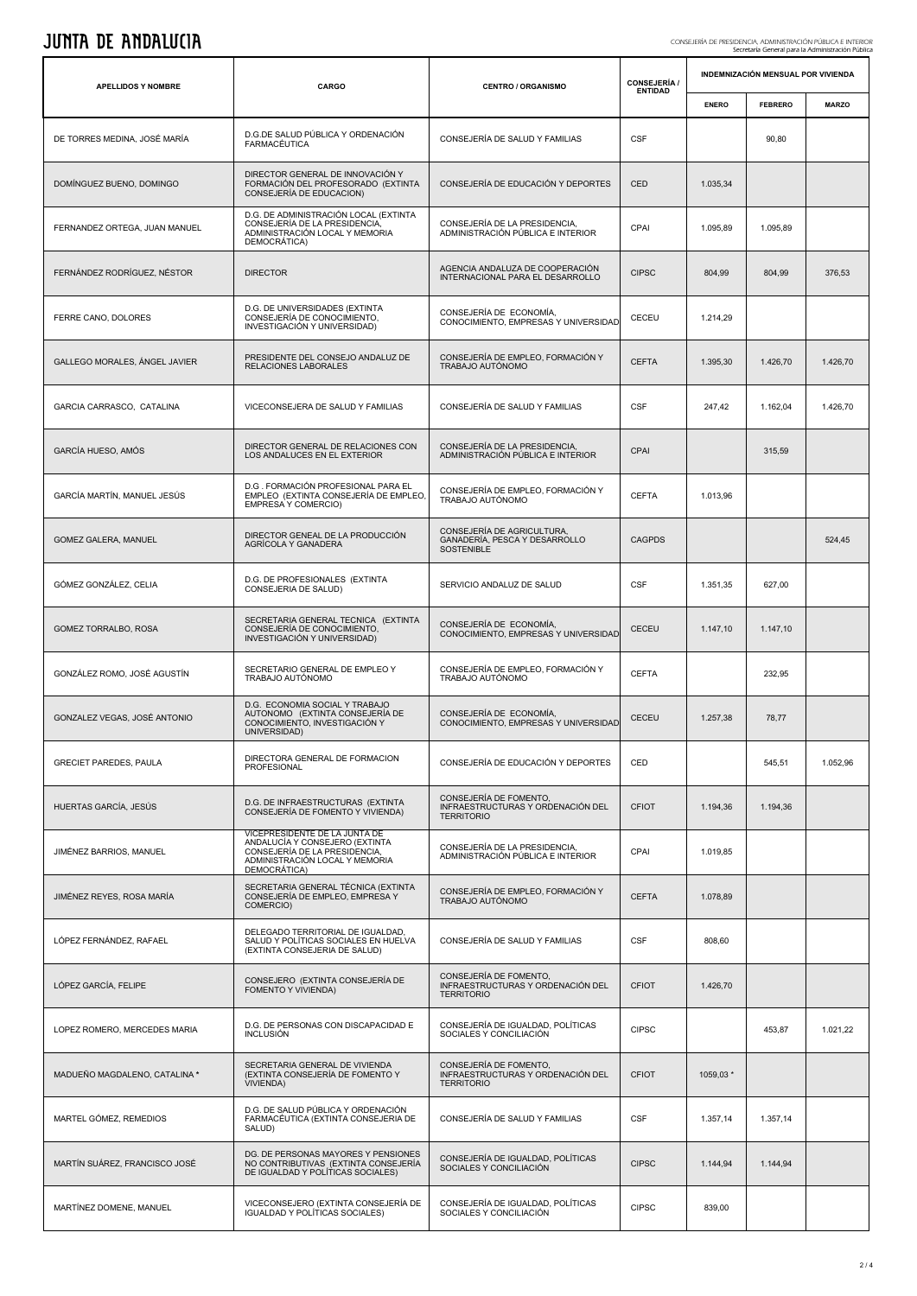| JUIIIA DE AIIDALULIA<br>CONSEJERÍA DE PRESIDENCIA, ADMINISTRACIÓN PÚBLICA E INTERIOI<br>Secretaría General para la Administración Pública |                                                                                                                                                    |                                                                                  |                                       |                                    |                |              |  |  |
|-------------------------------------------------------------------------------------------------------------------------------------------|----------------------------------------------------------------------------------------------------------------------------------------------------|----------------------------------------------------------------------------------|---------------------------------------|------------------------------------|----------------|--------------|--|--|
| <b>APELLIDOS Y NOMBRE</b>                                                                                                                 | CARGO                                                                                                                                              | <b>CENTRO / ORGANISMO</b>                                                        | <b>CONSEJERÍA /</b><br><b>ENTIDAD</b> | INDEMNIZACIÓN MENSUAL POR VIVIENDA |                |              |  |  |
|                                                                                                                                           |                                                                                                                                                    |                                                                                  |                                       | <b>ENERO</b>                       | <b>FEBRERO</b> | <b>MARZO</b> |  |  |
| DE TORRES MEDINA, JOSÉ MARÍA                                                                                                              | D.G.DE SALUD PÚBLICA Y ORDENACIÓN<br>FARMACÉUTICA                                                                                                  | CONSEJERÍA DE SALUD Y FAMILIAS                                                   | <b>CSF</b>                            |                                    | 90,80          |              |  |  |
| DOMÍNGUEZ BUENO, DOMINGO                                                                                                                  | DIRECTOR GENERAL DE INNOVACIÓN Y<br>FORMACIÓN DEL PROFESORADO (EXTINTA<br>CONSEJERÍA DE EDUCACION)                                                 | CONSEJERÍA DE EDUCACIÓN Y DEPORTES                                               | CED                                   | 1.035,34                           |                |              |  |  |
| FERNANDEZ ORTEGA, JUAN MANUEL                                                                                                             | D.G. DE ADMINISTRACIÓN LOCAL (EXTINTA<br>CONSEJERÍA DE LA PRESIDENCIA,<br>ADMINISTRACIÓN LOCAL Y MEMORIA<br>DEMOCRÁTICA)                           | CONSEJERÍA DE LA PRESIDENCIA,<br>ADMINISTRACIÓN PÚBLICA E INTERIOR               | CPAI                                  | 1.095,89                           | 1.095,89       |              |  |  |
| FERNÁNDEZ RODRÍGUEZ, NÉSTOR                                                                                                               | <b>DIRECTOR</b>                                                                                                                                    | AGENCIA ANDALUZA DE COOPERACIÓN<br>INTERNACIONAL PARA EL DESARROLLO              | <b>CIPSC</b>                          | 804,99                             | 804,99         | 376,53       |  |  |
| FERRE CANO, DOLORES                                                                                                                       | D.G. DE UNIVERSIDADES (EXTINTA<br>CONSEJERÍA DE CONOCIMIENTO,<br>INVESTIGACIÓN Y UNIVERSIDAD)                                                      | CONSEJERÍA DE ECONOMÍA,<br>CONOCIMIENTO, EMPRESAS Y UNIVERSIDAD                  | CECEU                                 | 1.214,29                           |                |              |  |  |
| GALLEGO MORALES, ÁNGEL JAVIER                                                                                                             | PRESIDENTE DEL CONSEJO ANDALUZ DE<br>RELACIONES LABORALES                                                                                          | CONSEJERÍA DE EMPLEO, FORMACIÓN Y<br>TRABAJO AUTÓNOMO                            | <b>CEFTA</b>                          | 1.395,30                           | 1.426,70       | 1.426,70     |  |  |
| GARCIA CARRASCO, CATALINA                                                                                                                 | VICECONSEJERA DE SALUD Y FAMILIAS                                                                                                                  | CONSEJERÍA DE SALUD Y FAMILIAS                                                   | <b>CSF</b>                            | 247,42                             | 1.162,04       | 1.426,70     |  |  |
| GARCÍA HUESO, AMÓS                                                                                                                        | DIRECTOR GENERAL DE RELACIONES CON<br>LOS ANDALUCES EN EL EXTERIOR                                                                                 | CONSEJERÍA DE LA PRESIDENCIA,<br>ADMINISTRACIÓN PÚBLICA E INTERIOR               | CPAI                                  |                                    | 315,59         |              |  |  |
| GARCÍA MARTÍN, MANUEL JESÚS                                                                                                               | D.G. FORMACIÓN PROFESIONAL PARA EL<br>EMPLEO (EXTINTA CONSEJERÍA DE EMPLEO,<br>EMPRESA Y COMERCIO)                                                 | CONSEJERÍA DE EMPLEO, FORMACIÓN Y<br>TRABAJO AUTÓNOMO                            | <b>CEFTA</b>                          | 1.013,96                           |                |              |  |  |
| GOMEZ GALERA, MANUEL                                                                                                                      | DIRECTOR GENEAL DE LA PRODUCCIÓN<br>AGRÍCOLA Y GANADERA                                                                                            | CONSEJERÍA DE AGRICULTURA,<br>GANADERÍA, PESCA Y DESARROLLO<br>SOSTENIBLE        | <b>CAGPDS</b>                         |                                    |                | 524,45       |  |  |
| GÓMEZ GONZÁLEZ, CELIA                                                                                                                     | D.G. DE PROFESIONALES (EXTINTA<br>CONSEJERIA DE SALUD)                                                                                             | SERVICIO ANDALUZ DE SALUD                                                        | <b>CSF</b>                            | 1.351,35                           | 627,00         |              |  |  |
| GOMEZ TORRALBO, ROSA                                                                                                                      | SECRETARIA GENERAL TECNICA (EXTINTA<br>CONSEJERÍA DE CONOCIMIENTO,<br>INVESTIGACIÓN Y UNIVERSIDAD)                                                 | CONSEJERÍA DE ECONOMÍA,<br>CONOCIMIENTO, EMPRESAS Y UNIVERSIDAD                  | CECEU                                 | 1.147,10                           | 1.147,10       |              |  |  |
| GONZÁLEZ ROMO, JOSÉ AGUSTÍN                                                                                                               | SECRETARIO GENERAL DE EMPLEO Y<br>TRABAJO AUTÓNOMO                                                                                                 | CONSEJERÍA DE EMPLEO, FORMACIÓN Y<br>TRABAJO AUTÓNOMO                            | <b>CEFTA</b>                          |                                    | 232,95         |              |  |  |
| GONZALEZ VEGAS, JOSÉ ANTONIO                                                                                                              | D.G. ECONOMIA SOCIAL Y TRABAJO<br>AUTONOMO (EXTINTA CONSEJERÍA DE<br>CONOCIMIENTO, INVESTIGACIÓN Y<br>UNIVERSIDAD)                                 | CONSEJERÍA DE ECONOMÍA,<br>CONOCIMIENTO, EMPRESAS Y UNIVERSIDAD                  | <b>CECEU</b>                          | 1.257,38                           | 78,77          |              |  |  |
| <b>GRECIET PAREDES, PAULA</b>                                                                                                             | DIRECTORA GENERAL DE FORMACION<br><b>PROFESIONAL</b>                                                                                               | CONSEJERÍA DE EDUCACIÓN Y DEPORTES                                               | CED                                   |                                    | 545,51         | 1.052.96     |  |  |
| HUERTAS GARCÍA, JESÚS                                                                                                                     | D.G. DE INFRAESTRUCTURAS (EXTINTA<br>CONSEJERÍA DE FOMENTO Y VIVIENDA)                                                                             | CONSEJERÍA DE FOMENTO,<br>INFRAESTRUCTURAS Y ORDENACIÓN DEL<br><b>TERRITORIO</b> | <b>CFIOT</b>                          | 1.194,36                           | 1.194,36       |              |  |  |
| JIMÉNEZ BARRIOS, MANUEL                                                                                                                   | VICEPRESIDENTE DE LA JUNTA DE<br>ANDALUCÍA Y CONSEJERO (EXTINTA<br>CONSEJERÍA DE LA PRESIDENCIA,<br>ADMINISTRACIÓN LOCAL Y MEMORIA<br>DEMOCRÁTICA) | CONSEJERÍA DE LA PRESIDENCIA,<br>ADMINISTRACIÓN PÚBLICA E INTERIOR               | CPAI                                  | 1.019,85                           |                |              |  |  |
| JIMÉNEZ REYES, ROSA MARÍA                                                                                                                 | SECRETARIA GENERAL TÉCNICA (EXTINTA<br>CONSEJERÍA DE EMPLEO, EMPRESA Y<br>COMERCIO)                                                                | CONSEJERÍA DE EMPLEO, FORMACIÓN Y<br>TRABAJO AUTÓNOMO                            | <b>CEFTA</b>                          | 1.078,89                           |                |              |  |  |
| LÓPEZ FERNÁNDEZ, RAFAEL                                                                                                                   | DELEGADO TERRITORIAL DE IGUALDAD,<br>SALUD Y POLÍTICAS SOCIALES EN HUELVA<br>(EXTINTA CONSEJERIA DE SALUD)                                         | CONSEJERÍA DE SALUD Y FAMILIAS                                                   | <b>CSF</b>                            | 808,60                             |                |              |  |  |
| LÓPEZ GARCÍA, FELIPE                                                                                                                      | CONSEJERO (EXTINTA CONSEJERÍA DE<br>FOMENTO Y VIVIENDA)                                                                                            | CONSEJERÍA DE FOMENTO,<br>INFRAESTRUCTURAS Y ORDENACIÓN DEL<br><b>TERRITORIO</b> | <b>CFIOT</b>                          | 1.426,70                           |                |              |  |  |
| LOPEZ ROMERO, MERCEDES MARIA                                                                                                              | D.G. DE PERSONAS CON DISCAPACIDAD E<br><b>INCLUSIÓN</b>                                                                                            | CONSEJERÍA DE IGUALDAD, POLÍTICAS<br>SOCIALES Y CONCILIACIÓN                     | <b>CIPSC</b>                          |                                    | 453,87         | 1.021,22     |  |  |
| MADUEÑO MAGDALENO, CATALINA *                                                                                                             | SECRETARIA GENERAL DE VIVIENDA<br>(EXTINTA CONSEJERÍA DE FOMENTO Y<br><b>VIVIENDA)</b>                                                             | CONSEJERÍA DE FOMENTO,<br>INFRAESTRUCTURAS Y ORDENACIÓN DEL<br><b>TERRITORIO</b> | <b>CFIOT</b>                          | 1059,03 *                          |                |              |  |  |
| MARTEL GÓMEZ, REMEDIOS                                                                                                                    | D.G. DE SALUD PÚBLICA Y ORDENACIÓN<br>FARMACÉUTICA (EXTINTA CONSEJERIA DE<br>SALUD)                                                                | CONSEJERÍA DE SALUD Y FAMILIAS                                                   | <b>CSF</b>                            | 1.357,14                           | 1.357,14       |              |  |  |
| MARTÍN SUÁREZ, FRANCISCO JOSÉ                                                                                                             | DG. DE PERSONAS MAYORES Y PENSIONES<br>NO CONTRIBUTIVAS (EXTINTA CONSEJERÍA<br>DE IGUALDAD Y POLÍTICAS SOCIALES)                                   | CONSEJERÍA DE IGUALDAD, POLÍTICAS<br>SOCIALES Y CONCILIACIÓN                     | <b>CIPSC</b>                          | 1.144,94                           | 1.144,94       |              |  |  |
| MARTÍNEZ DOMENE, MANUEL                                                                                                                   | VICECONSEJERO (EXTINTA CONSEJERÍA DE<br>IGUALDAD Y POLÍTICAS SOCIALES)                                                                             | CONSEJERÍA DE IGUALDAD, POLÍTICAS<br>SOCIALES Y CONCILIACIÓN                     | <b>CIPSC</b>                          | 839,00                             |                |              |  |  |

 $\overline{\phantom{a}}$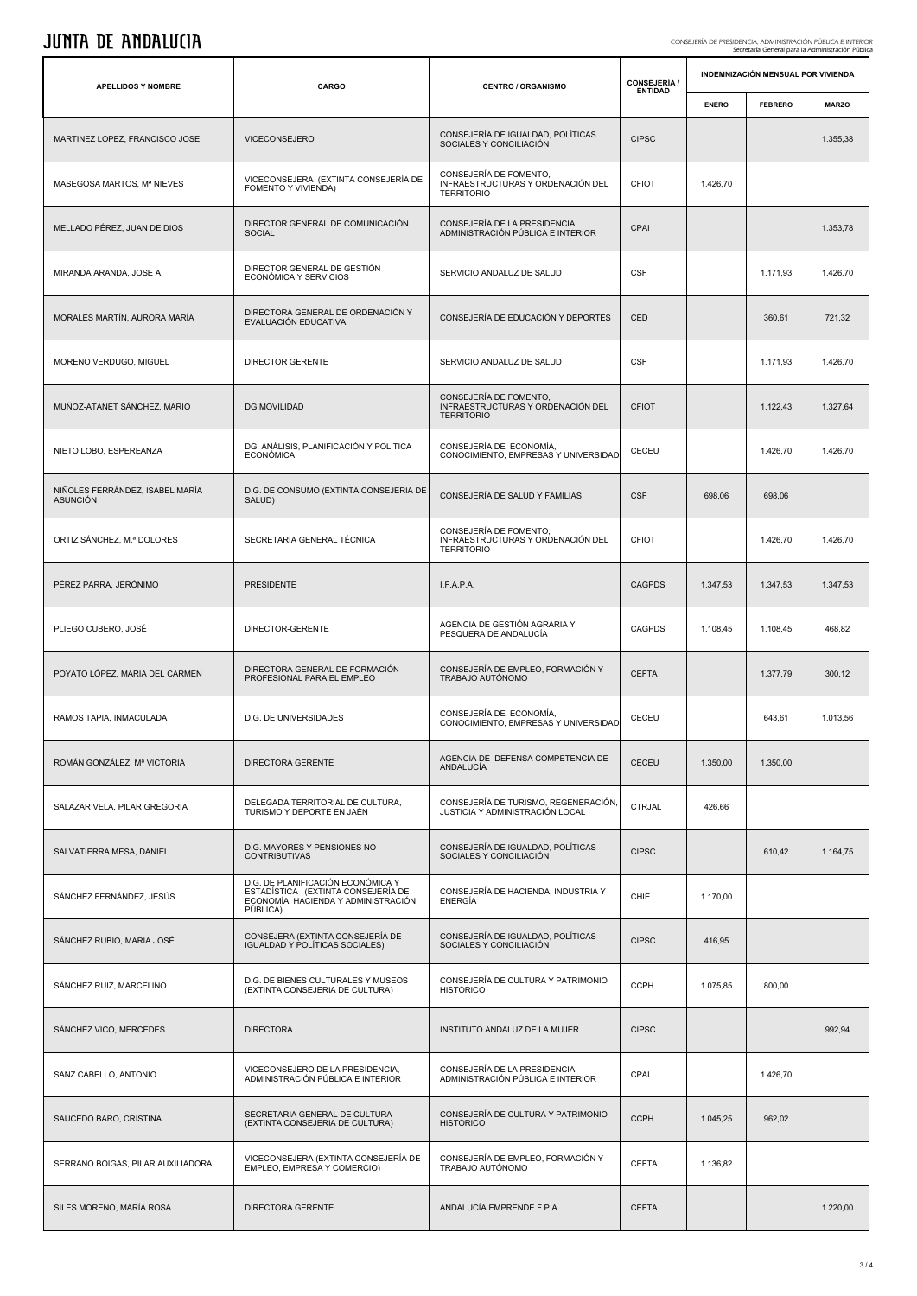# JUNTA DE ANDALUCIA CONSEJERÍA DE PRESIDENCIA, ADMINISTRACIÓN PÚBLICA E INTERIOR Secretaría General para la Administración Pública

| <b>APELLIDOS Y NOMBRE</b>                          | CARGO                                                                                                                      | <b>CENTRO / ORGANISMO</b>                                                        | <b>CONSEJERÍA /</b><br><b>ENTIDAD</b> |              | INDEMNIZACIÓN MENSUAL POR VIVIENDA |              |  |
|----------------------------------------------------|----------------------------------------------------------------------------------------------------------------------------|----------------------------------------------------------------------------------|---------------------------------------|--------------|------------------------------------|--------------|--|
|                                                    |                                                                                                                            |                                                                                  |                                       | <b>ENERO</b> | <b>FEBRERO</b>                     | <b>MARZO</b> |  |
| MARTINEZ LOPEZ, FRANCISCO JOSE                     | VICECONSEJERO                                                                                                              | CONSEJERÍA DE IGUALDAD, POLÍTICAS<br>SOCIALES Y CONCILIACIÓN                     | <b>CIPSC</b>                          |              |                                    | 1.355,38     |  |
| MASEGOSA MARTOS, Mª NIEVES                         | VICECONSEJERA (EXTINTA CONSEJERÍA DE<br>FOMENTO Y VIVIENDA)                                                                | CONSEJERÍA DE FOMENTO,<br>INFRAESTRUCTURAS Y ORDENACIÓN DEL<br><b>TERRITORIO</b> | <b>CFIOT</b>                          | 1.426,70     |                                    |              |  |
| MELLADO PÉREZ, JUAN DE DIOS                        | DIRECTOR GENERAL DE COMUNICACIÓN<br><b>SOCIAL</b>                                                                          | CONSEJERÍA DE LA PRESIDENCIA,<br>ADMINISTRACIÓN PÚBLICA E INTERIOR               | CPAI                                  |              |                                    | 1.353,78     |  |
| MIRANDA ARANDA, JOSE A.                            | DIRECTOR GENERAL DE GESTIÓN<br>ECONÓMICA Y SERVICIOS                                                                       | SERVICIO ANDALUZ DE SALUD                                                        | <b>CSF</b>                            |              | 1.171,93                           | 1,426,70     |  |
| MORALES MARTÍN, AURORA MARÍA                       | DIRECTORA GENERAL DE ORDENACIÓN Y<br>EVALUACIÓN EDUCATIVA                                                                  | CONSEJERÍA DE EDUCACIÓN Y DEPORTES                                               | CED                                   |              | 360,61                             | 721,32       |  |
| MORENO VERDUGO, MIGUEL                             | <b>DIRECTOR GERENTE</b>                                                                                                    | SERVICIO ANDALUZ DE SALUD                                                        | <b>CSF</b>                            |              | 1.171,93                           | 1.426,70     |  |
| MUÑOZ-ATANET SÁNCHEZ, MARIO                        | <b>DG MOVILIDAD</b>                                                                                                        | CONSEJERÍA DE FOMENTO,<br>INFRAESTRUCTURAS Y ORDENACIÓN DEL<br><b>TERRITORIO</b> | <b>CFIOT</b>                          |              | 1.122,43                           | 1.327,64     |  |
| NIETO LOBO, ESPEREANZA                             | DG. ANÁLISIS, PLANIFICACIÓN Y POLÍTICA<br><b>ECONÓMICA</b>                                                                 | CONSEJERÍA DE ECONOMÍA,<br>CONOCIMIENTO, EMPRESAS Y UNIVERSIDAD                  | CECEU                                 |              | 1.426,70                           | 1.426,70     |  |
| NIÑOLES FERRÁNDEZ, ISABEL MARÍA<br><b>ASUNCIÓN</b> | D.G. DE CONSUMO (EXTINTA CONSEJERIA DE<br>SALUD)                                                                           | CONSEJERÍA DE SALUD Y FAMILIAS                                                   | <b>CSF</b>                            | 698,06       | 698,06                             |              |  |
| ORTIZ SÁNCHEZ, M.ª DOLORES                         | SECRETARIA GENERAL TÉCNICA                                                                                                 | CONSEJERÍA DE FOMENTO.<br>INFRAESTRUCTURAS Y ORDENACIÓN DEL<br><b>TERRITORIO</b> | <b>CFIOT</b>                          |              | 1.426,70                           | 1.426,70     |  |
| PÉREZ PARRA, JERÓNIMO                              | <b>PRESIDENTE</b>                                                                                                          | I.F.A.P.A.                                                                       | <b>CAGPDS</b>                         | 1.347,53     | 1.347,53                           | 1.347,53     |  |
| PLIEGO CUBERO, JOSÉ                                | DIRECTOR-GERENTE                                                                                                           | AGENCIA DE GESTIÓN AGRARIA Y<br>PESQUERA DE ANDALUCÍA                            | <b>CAGPDS</b>                         | 1.108,45     | 1.108,45                           | 468,82       |  |
| POYATO LÓPEZ, MARIA DEL CARMEN                     | DIRECTORA GENERAL DE FORMACIÓN<br>PROFESIONAL PARA EL EMPLEO                                                               | CONSEJERÍA DE EMPLEO. FORMACIÓN Y<br>TRABAJO AUTÓNOMO                            | <b>CEFTA</b>                          |              | 1.377,79                           | 300,12       |  |
| RAMOS TAPIA, INMACULADA                            | D.G. DE UNIVERSIDADES                                                                                                      | CONSEJERÍA DE ECONOMÍA,<br>CONOCIMIENTO, EMPRESAS Y UNIVERSIDAD                  | CECEU                                 |              | 643,61                             | 1.013,56     |  |
| ROMÁN GONZÁLEZ, Mª VICTORIA                        | DIRECTORA GERENTE                                                                                                          | AGENCIA DE DEFENSA COMPETENCIA DE<br>ANDALUCÍA                                   | CECEU                                 | 1.350,00     | 1.350,00                           |              |  |
| SALAZAR VELA, PILAR GREGORIA                       | DELEGADA TERRITORIAL DE CULTURA,<br>TURISMO Y DEPORTE EN JAÉN                                                              | CONSEJERÍA DE TURISMO, REGENERACIÓN,<br>JUSTICIA Y ADMINISTRACIÓN LOCAL          | <b>CTRJAL</b>                         | 426,66       |                                    |              |  |
| SALVATIERRA MESA, DANIEL                           | D.G. MAYORES Y PENSIONES NO<br><b>CONTRIBUTIVAS</b>                                                                        | CONSEJERÍA DE IGUALDAD, POLÍTICAS<br>SOCIALES Y CONCILIACIÓN                     | <b>CIPSC</b>                          |              | 610,42                             | 1.164,75     |  |
| SÁNCHEZ FERNÁNDEZ, JESÚS                           | D.G. DE PLANIFICACIÓN ECONÓMICA Y<br>ESTADÍSTICA (EXTINTA CONSEJERÍA DE<br>ECONOMÍA, HACIENDA Y ADMINISTRACIÓN<br>PÚBLICA) | CONSEJERÍA DE HACIENDA, INDUSTRIA Y<br><b>ENERGÍA</b>                            | CHIE                                  | 1.170,00     |                                    |              |  |
| SÁNCHEZ RUBIO, MARIA JOSÉ                          | CONSEJERA (EXTINTA CONSEJERÍA DE<br>IGUALDAD Y POLÍTICAS SOCIALES)                                                         | CONSEJERÍA DE IGUALDAD, POLÍTICAS<br>SOCIALES Y CONCILIACIÓN                     | <b>CIPSC</b>                          | 416,95       |                                    |              |  |
| SÁNCHEZ RUIZ, MARCELINO                            | D.G. DE BIENES CULTURALES Y MUSEOS<br>(EXTINTA CONSEJERIA DE CULTURA)                                                      | CONSEJERÍA DE CULTURA Y PATRIMONIO<br><b>HISTÓRICO</b>                           | <b>CCPH</b>                           | 1.075,85     | 800,00                             |              |  |
| SÁNCHEZ VICO, MERCEDES                             | <b>DIRECTORA</b>                                                                                                           | INSTITUTO ANDALUZ DE LA MUJER                                                    | <b>CIPSC</b>                          |              |                                    | 992,94       |  |
| SANZ CABELLO, ANTONIO                              | VICECONSEJERO DE LA PRESIDENCIA,<br>ADMINISTRACIÓN PÚBLICA E INTERIOR                                                      | CONSEJERÍA DE LA PRESIDENCIA,<br>ADMINISTRACIÓN PÚBLICA E INTERIOR               | CPAI                                  |              | 1.426,70                           |              |  |
| SAUCEDO BARO, CRISTINA                             | SECRETARIA GENERAL DE CULTURA<br>(EXTINTA CONSEJERIA DE CULTURA)                                                           | CONSEJERÍA DE CULTURA Y PATRIMONIO<br><b>HISTÓRICO</b>                           | <b>CCPH</b>                           | 1.045,25     | 962,02                             |              |  |
| SERRANO BOIGAS, PILAR AUXILIADORA                  | VICECONSEJERA (EXTINTA CONSEJERÍA DE<br>EMPLEO, EMPRESA Y COMERCIO)                                                        | CONSEJERÍA DE EMPLEO, FORMACIÓN Y<br>TRABAJO AUTÓNOMO                            | <b>CEFTA</b>                          | 1.136,82     |                                    |              |  |
| SILES MORENO, MARÍA ROSA                           | DIRECTORA GERENTE                                                                                                          | ANDALUCÍA EMPRENDE F.P.A.                                                        | <b>CEFTA</b>                          |              |                                    | 1.220,00     |  |